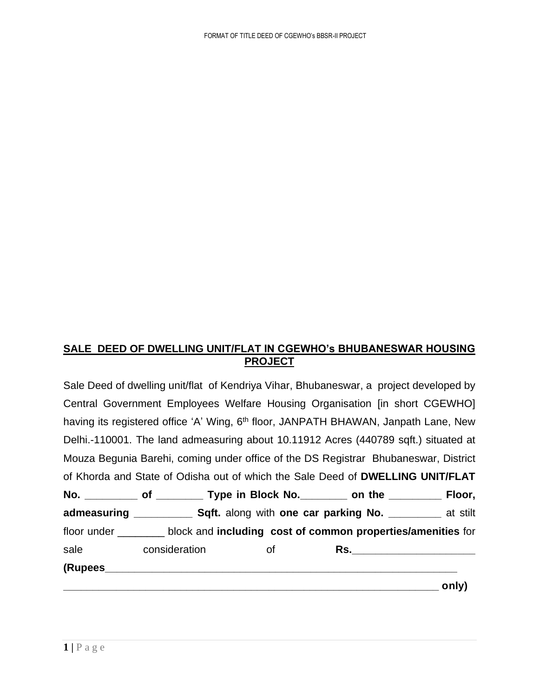## **SALE DEED OF DWELLING UNIT/FLAT IN CGEWHO's BHUBANESWAR HOUSING PROJECT**

Sale Deed of dwelling unit/flat of Kendriya Vihar, Bhubaneswar, a project developed by Central Government Employees Welfare Housing Organisation [in short CGEWHO] having its registered office 'A' Wing, 6<sup>th</sup> floor, JANPATH BHAWAN, Janpath Lane, New Delhi.-110001. The land admeasuring about 10.11912 Acres (440789 sqft.) situated at Mouza Begunia Barehi, coming under office of the DS Registrar Bhubaneswar, District of Khorda and State of Odisha out of which the Sale Deed of **DWELLING UNIT/FLAT No. \_\_\_\_\_\_\_\_\_ of \_\_\_\_\_\_\_\_ Type in Block No.\_\_\_\_\_\_\_\_ on the \_\_\_\_\_\_\_\_\_ Floor, admeasuring \_\_\_\_\_\_\_\_\_\_ Sqft.** along with **one car parking No. \_\_\_\_\_\_\_\_\_** at stilt floor under \_\_\_\_\_\_\_\_ block and **including cost of common properties/amenities** for sale consideration of **Rs. (Rupees\_\_\_\_\_\_\_\_\_\_\_\_\_\_\_\_\_\_\_\_\_\_\_\_\_\_\_\_\_\_\_\_\_\_\_\_\_\_\_\_\_\_\_\_\_\_\_\_\_\_\_\_\_\_\_\_\_\_\_\_**  $\mathsf{only}$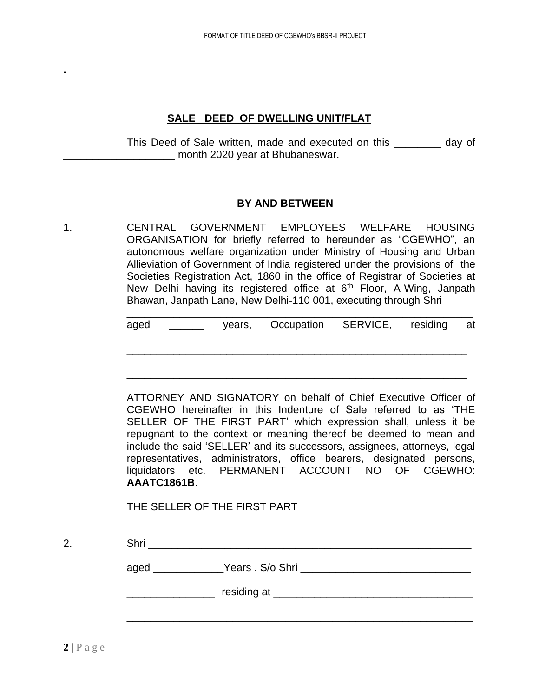#### **SALE DEED OF DWELLING UNIT/FLAT**

This Deed of Sale written, made and executed on this \_\_\_\_\_\_\_\_ day of \_\_\_\_\_\_\_\_\_\_\_\_\_\_\_\_\_\_\_ month 2020 year at Bhubaneswar.

#### **BY AND BETWEEN**

1. CENTRAL GOVERNMENT EMPLOYEES WELFARE HOUSING ORGANISATION for briefly referred to hereunder as "CGEWHO", an autonomous welfare organization under Ministry of Housing and Urban Allieviation of Government of India registered under the provisions of the Societies Registration Act, 1860 in the office of Registrar of Societies at New Delhi having its registered office at  $6<sup>th</sup>$  Floor, A-Wing, Janpath Bhawan, Janpath Lane, New Delhi-110 001, executing through Shri

| aged |  | years, Occupation SERVICE, residing at |  |  |
|------|--|----------------------------------------|--|--|

\_\_\_\_\_\_\_\_\_\_\_\_\_\_\_\_\_\_\_\_\_\_\_\_\_\_\_\_\_\_\_\_\_\_\_\_\_\_\_\_\_\_\_\_\_\_\_\_\_\_\_\_\_\_\_\_\_\_

\_\_\_\_\_\_\_\_\_\_\_\_\_\_\_\_\_\_\_\_\_\_\_\_\_\_\_\_\_\_\_\_\_\_\_\_\_\_\_\_\_\_\_\_\_\_\_\_\_\_\_\_\_\_\_\_\_\_

ATTORNEY AND SIGNATORY on behalf of Chief Executive Officer of CGEWHO hereinafter in this Indenture of Sale referred to as 'THE SELLER OF THE FIRST PART' which expression shall, unless it be repugnant to the context or meaning thereof be deemed to mean and include the said 'SELLER' and its successors, assignees, attorneys, legal representatives, administrators, office bearers, designated persons, liquidators etc. PERMANENT ACCOUNT NO OF CGEWHO: **AAATC1861B**.

THE SELLER OF THE FIRST PART

2. Shri \_\_\_\_\_\_\_\_\_\_\_\_\_\_\_\_\_\_\_\_\_\_\_\_\_\_\_\_\_\_\_\_\_\_\_\_\_\_\_\_\_\_\_\_\_\_\_\_\_\_\_\_\_\_\_ aged The Years , S/o Shri **with the Contract of Security Contract of System** \_\_\_\_\_\_\_\_\_\_\_\_\_\_\_ residing at \_\_\_\_\_\_\_\_\_\_\_\_\_\_\_\_\_\_\_\_\_\_\_\_\_\_\_\_\_\_\_\_\_\_

\_\_\_\_\_\_\_\_\_\_\_\_\_\_\_\_\_\_\_\_\_\_\_\_\_\_\_\_\_\_\_\_\_\_\_\_\_\_\_\_\_\_\_\_\_\_\_\_\_\_\_\_\_\_\_\_\_\_\_

**.**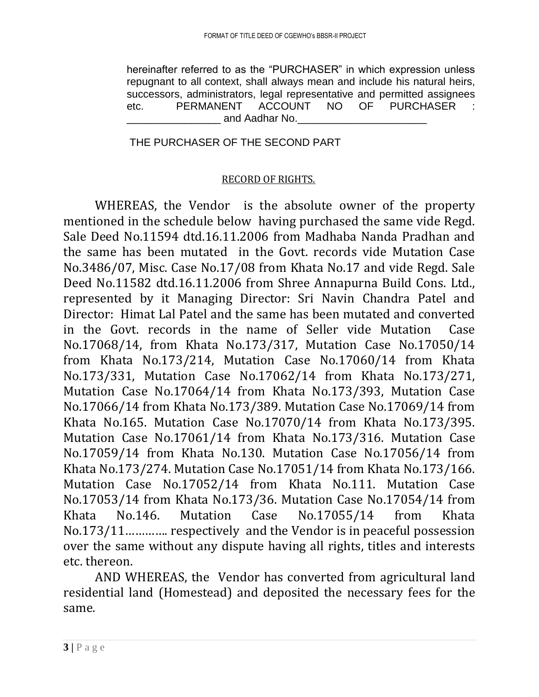hereinafter referred to as the "PURCHASER" in which expression unless repugnant to all context, shall always mean and include his natural heirs, successors, administrators, legal representative and permitted assignees etc. PERMANENT ACCOUNT NO OF PURCHASER and Aadhar No.

# THE PURCHASER OF THE SECOND PART

### RECORD OF RIGHTS.

WHEREAS, the Vendor is the absolute owner of the property mentioned in the schedule below having purchased the same vide Regd. Sale Deed No.11594 dtd.16.11.2006 from Madhaba Nanda Pradhan and the same has been mutated in the Govt. records vide Mutation Case No.3486/07, Misc. Case No.17/08 from Khata No.17 and vide Regd. Sale Deed No.11582 dtd.16.11.2006 from Shree Annapurna Build Cons. Ltd., represented by it Managing Director: Sri Navin Chandra Patel and Director: Himat Lal Patel and the same has been mutated and converted in the Govt. records in the name of Seller vide Mutation Case No.17068/14, from Khata No.173/317, Mutation Case No.17050/14 from Khata No.173/214, Mutation Case No.17060/14 from Khata No.173/331, Mutation Case No.17062/14 from Khata No.173/271, Mutation Case No.17064/14 from Khata No.173/393, Mutation Case No.17066/14 from Khata No.173/389. Mutation Case No.17069/14 from Khata No.165. Mutation Case No.17070/14 from Khata No.173/395. Mutation Case No.17061/14 from Khata No.173/316. Mutation Case No.17059/14 from Khata No.130. Mutation Case No.17056/14 from Khata No.173/274. Mutation Case No.17051/14 from Khata No.173/166. Mutation Case No.17052/14 from Khata No.111. Mutation Case No.17053/14 from Khata No.173/36. Mutation Case No.17054/14 from Khata No.146. Mutation Case No.17055/14 from Khata No.173/11…………. respectively and the Vendor is in peaceful possession over the same without any dispute having all rights, titles and interests etc. thereon.

AND WHEREAS, the Vendor has converted from agricultural land residential land (Homestead) and deposited the necessary fees for the same.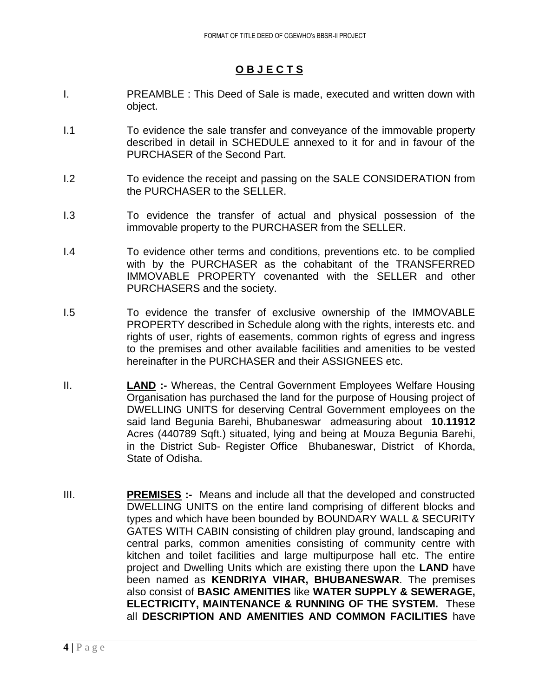#### **O B J E C T S**

- I. PREAMBLE : This Deed of Sale is made, executed and written down with object.
- I.1 To evidence the sale transfer and conveyance of the immovable property described in detail in SCHEDULE annexed to it for and in favour of the PURCHASER of the Second Part.
- I.2 To evidence the receipt and passing on the SALE CONSIDERATION from the PURCHASER to the SELLER.
- I.3 To evidence the transfer of actual and physical possession of the immovable property to the PURCHASER from the SELLER.
- I.4 To evidence other terms and conditions, preventions etc. to be complied with by the PURCHASER as the cohabitant of the TRANSFERRED IMMOVABLE PROPERTY covenanted with the SELLER and other PURCHASERS and the society.
- I.5 To evidence the transfer of exclusive ownership of the IMMOVABLE PROPERTY described in Schedule along with the rights, interests etc. and rights of user, rights of easements, common rights of egress and ingress to the premises and other available facilities and amenities to be vested hereinafter in the PURCHASER and their ASSIGNEES etc.
- II. **LAND :-** Whereas, the Central Government Employees Welfare Housing Organisation has purchased the land for the purpose of Housing project of DWELLING UNITS for deserving Central Government employees on the said land Begunia Barehi, Bhubaneswar admeasuring about **10.11912** Acres (440789 Sqft.) situated, lying and being at Mouza Begunia Barehi, in the District Sub- Register Office Bhubaneswar, District of Khorda, State of Odisha.
- III. **PREMISES :-** Means and include all that the developed and constructed DWELLING UNITS on the entire land comprising of different blocks and types and which have been bounded by BOUNDARY WALL & SECURITY GATES WITH CABIN consisting of children play ground, landscaping and central parks, common amenities consisting of community centre with kitchen and toilet facilities and large multipurpose hall etc. The entire project and Dwelling Units which are existing there upon the **LAND** have been named as **KENDRIYA VIHAR, BHUBANESWAR**. The premises also consist of **BASIC AMENITIES** like **WATER SUPPLY & SEWERAGE, ELECTRICITY, MAINTENANCE & RUNNING OF THE SYSTEM.** These all **DESCRIPTION AND AMENITIES AND COMMON FACILITIES** have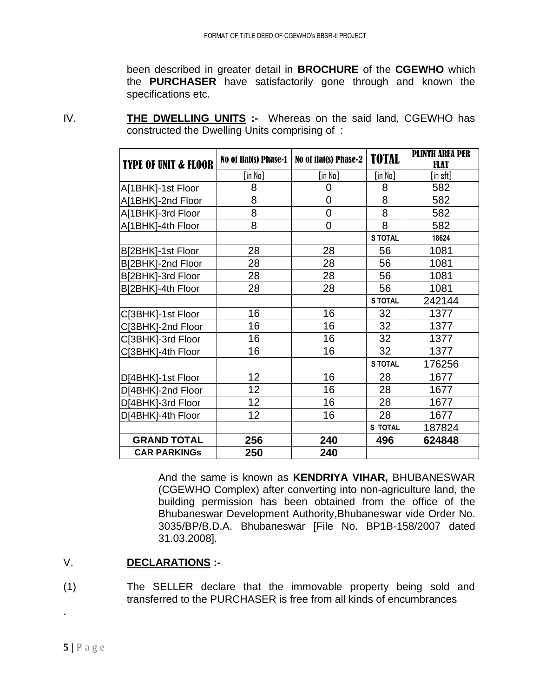been described in greater detail in **BROCHURE** of the **CGEWHO** which the **PURCHASER** have satisfactorily gone through and known the specifications etc.

**TYPE OF UNIT & FLOOR** No of flat(s) Phase-1 No of flat(s) Phase-2 **TOTAL** PLINTH AREA PER FLAT [in No] [in No] [in No] [in sft] A[1BHK]-1st Floor 8 0 8 582 A[1BHK]-2nd Floor 8 0 8 582 A[1BHK]-3rd Floor 8 0 8 582 A[1BHK]-4th Floor 8 0 8 582 **S TOTAL 18624** B[2BHK]-1st Floor | 28 | 28 | 56 | 1081 B[2BHK]-2nd Floor | 28 | 28 | 56 | 1081 B[2BHK]-3rd Floor | 28 | 28 | 56 | 1081 B[2BHK]-4th Floor | 28 | 28 | 56 | 1081 **S TOTAL** 242144 C[3BHK]-1st Floor | 16 | 16 | 32 | 1377

> C[3BHK]-2nd Floor | 16 | 16 | 32 | 1377 C[3BHK]-3rd Floor | 16 | 16 | 32 | 1377 C[3BHK]-4th Floor | 16 | 16 | 32 | 1377

> D[4BHK]-1st Floor | 12 | 16 | 28 | 1677 D[4BHK]-2nd Floor 12 16 28 1677 D[4BHK]-3rd Floor | 12 | 16 | 28 | 1677 D[4BHK]-4th Floor 12 16 28 1677

**GRAND TOTAL 256 240 496 624848**

IV. **THE DWELLING UNITS :-** Whereas on the said land, CGEWHO has constructed the Dwelling Units comprising of :

> And the same is known as **KENDRIYA VIHAR,** BHUBANESWAR (CGEWHO Complex) after converting into non-agriculture land, the building permission has been obtained from the office of the Bhubaneswar Development Authority,Bhubaneswar vide Order No. 3035/BP/B.D.A. Bhubaneswar [File No. BP1B-158/2007 dated 31.03.2008].

**S TOTAL** 176256

**S TOTAL** 187824

# V. **DECLARATIONS :-**

(1) The SELLER declare that the immovable property being sold and transferred to the PURCHASER is free from all kinds of encumbrances

**CAR PARKINGs 250 240**

.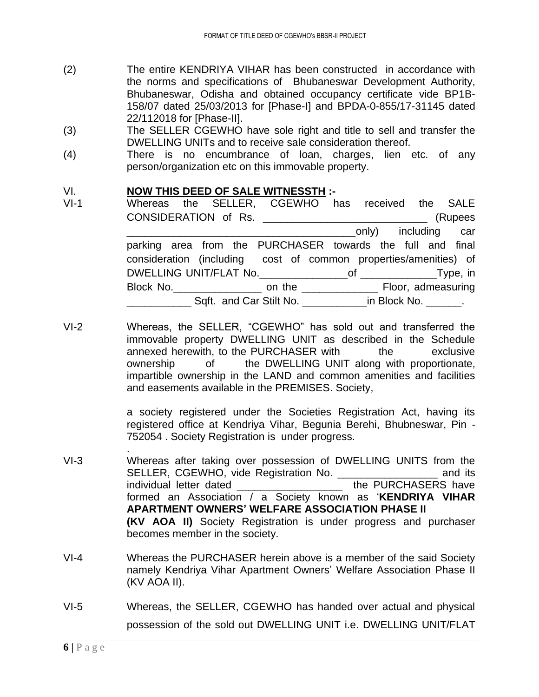- (2) The entire KENDRIYA VIHAR has been constructed in accordance with the norms and specifications of Bhubaneswar Development Authority, Bhubaneswar, Odisha and obtained occupancy certificate vide BP1B-158/07 dated 25/03/2013 for [Phase-I] and BPDA-0-855/17-31145 dated 22/112018 for [Phase-II].
- (3) The SELLER CGEWHO have sole right and title to sell and transfer the DWELLING UNITs and to receive sale consideration thereof.
- (4) There is no encumbrance of loan, charges, lien etc. of any person/organization etc on this immovable property.

#### VI. **NOW THIS DEED OF SALE WITNESSTH :-**

- VI-1 Whereas the SELLER, CGEWHO has received the SALE CONSIDERATION of Rs. \_\_\_\_\_\_\_\_\_\_\_\_\_\_\_\_\_\_\_\_\_\_\_\_\_\_\_\_ (Rupees example and the conly including car parking area from the PURCHASER towards the full and final consideration (including cost of common properties/amenities) of DWELLING UNIT/FLAT No.\_\_\_\_\_\_\_\_\_\_\_\_\_\_\_of \_\_\_\_\_\_\_\_\_\_\_\_\_Type, in Block No. **Block No. block** No. **block** No. **block** No. **admeasuring** \_\_\_\_\_\_\_\_\_\_\_ Sqft. and Car Stilt No. \_\_\_\_\_\_\_\_\_\_\_in Block No. \_\_\_\_\_\_.
- VI-2 Whereas, the SELLER, "CGEWHO" has sold out and transferred the immovable property DWELLING UNIT as described in the Schedule annexed herewith, to the PURCHASER with the exclusive ownership of the DWELLING UNIT along with proportionate, impartible ownership in the LAND and common amenities and facilities and easements available in the PREMISES. Society,

a society registered under the Societies Registration Act, having its registered office at Kendriya Vihar, Begunia Berehi, Bhubneswar, Pin - 752054 . Society Registration is under progress.

- VI-3 Whereas after taking over possession of DWELLING UNITS from the SELLER, CGEWHO, vide Registration No. \_\_\_\_\_\_\_\_\_\_\_\_\_\_\_\_\_\_\_ and its individual letter dated \_\_\_\_\_\_\_\_\_\_\_\_\_\_\_\_\_\_\_\_\_\_\_ the PURCHASERS have formed an Association / a Society known as '**KENDRIYA VIHAR APARTMENT OWNERS' WELFARE ASSOCIATION PHASE II (KV AOA II)** Society Registration is under progress and purchaser becomes member in the society.
- VI-4 Whereas the PURCHASER herein above is a member of the said Society namely Kendriya Vihar Apartment Owners' Welfare Association Phase II (KV AOA II).
- VI-5 Whereas, the SELLER, CGEWHO has handed over actual and physical possession of the sold out DWELLING UNIT i.e. DWELLING UNIT/FLAT

.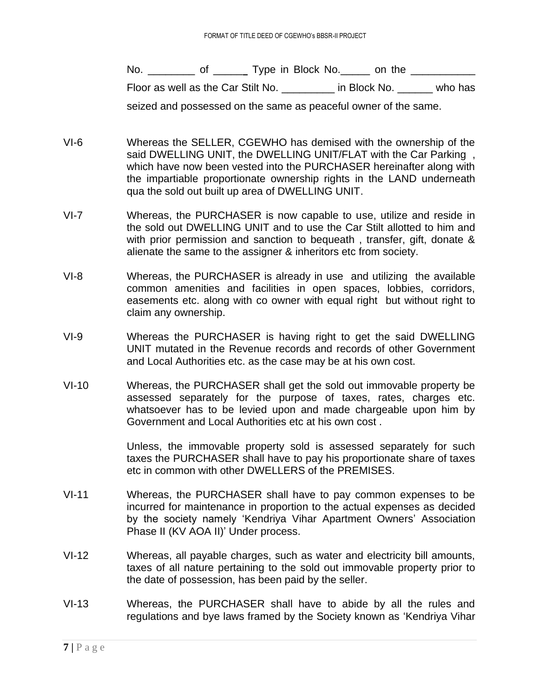No. \_\_\_\_\_\_\_\_\_ of \_\_\_\_\_\_\_ Type in Block No. \_\_\_\_\_\_ on the \_\_\_\_\_\_\_\_\_\_ Floor as well as the Car Stilt No. <br>and in Block No.  $\qquad \qquad$  who has seized and possessed on the same as peaceful owner of the same.

- VI-6 Whereas the SELLER, CGEWHO has demised with the ownership of the said DWELLING UNIT, the DWELLING UNIT/FLAT with the Car Parking, which have now been vested into the PURCHASER hereinafter along with the impartiable proportionate ownership rights in the LAND underneath qua the sold out built up area of DWELLING UNIT.
- VI-7 Whereas, the PURCHASER is now capable to use, utilize and reside in the sold out DWELLING UNIT and to use the Car Stilt allotted to him and with prior permission and sanction to bequeath, transfer, gift, donate & alienate the same to the assigner & inheritors etc from society.
- VI-8 Whereas, the PURCHASER is already in use and utilizing the available common amenities and facilities in open spaces, lobbies, corridors, easements etc. along with co owner with equal right but without right to claim any ownership.
- VI-9 Whereas the PURCHASER is having right to get the said DWELLING UNIT mutated in the Revenue records and records of other Government and Local Authorities etc. as the case may be at his own cost.
- VI-10 Whereas, the PURCHASER shall get the sold out immovable property be assessed separately for the purpose of taxes, rates, charges etc. whatsoever has to be levied upon and made chargeable upon him by Government and Local Authorities etc at his own cost .

Unless, the immovable property sold is assessed separately for such taxes the PURCHASER shall have to pay his proportionate share of taxes etc in common with other DWELLERS of the PREMISES.

- VI-11 Whereas, the PURCHASER shall have to pay common expenses to be incurred for maintenance in proportion to the actual expenses as decided by the society namely 'Kendriya Vihar Apartment Owners' Association Phase II (KV AOA II)' Under process.
- VI-12 Whereas, all payable charges, such as water and electricity bill amounts, taxes of all nature pertaining to the sold out immovable property prior to the date of possession, has been paid by the seller.
- VI-13 Whereas, the PURCHASER shall have to abide by all the rules and regulations and bye laws framed by the Society known as 'Kendriya Vihar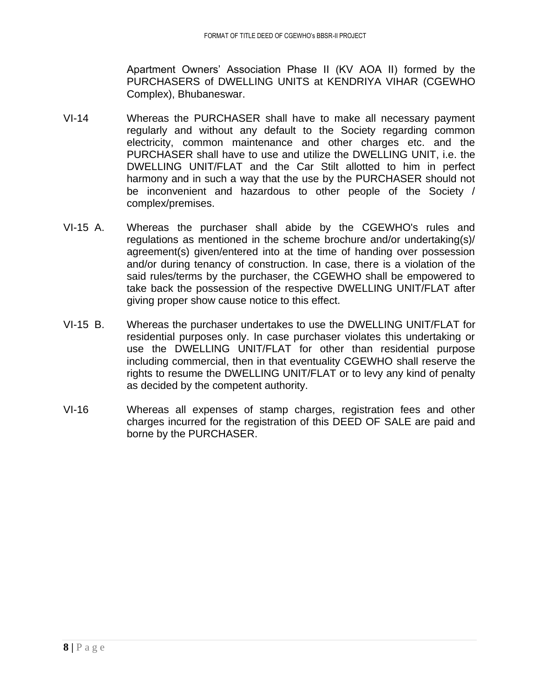Apartment Owners' Association Phase II (KV AOA II) formed by the PURCHASERS of DWELLING UNITS at KENDRIYA VIHAR (CGEWHO Complex), Bhubaneswar.

- VI-14 Whereas the PURCHASER shall have to make all necessary payment regularly and without any default to the Society regarding common electricity, common maintenance and other charges etc. and the PURCHASER shall have to use and utilize the DWELLING UNIT, i.e. the DWELLING UNIT/FLAT and the Car Stilt allotted to him in perfect harmony and in such a way that the use by the PURCHASER should not be inconvenient and hazardous to other people of the Society / complex/premises.
- VI-15 A. Whereas the purchaser shall abide by the CGEWHO's rules and regulations as mentioned in the scheme brochure and/or undertaking(s)/ agreement(s) given/entered into at the time of handing over possession and/or during tenancy of construction. In case, there is a violation of the said rules/terms by the purchaser, the CGEWHO shall be empowered to take back the possession of the respective DWELLING UNIT/FLAT after giving proper show cause notice to this effect.
- VI-15 B. Whereas the purchaser undertakes to use the DWELLING UNIT/FLAT for residential purposes only. In case purchaser violates this undertaking or use the DWELLING UNIT/FLAT for other than residential purpose including commercial, then in that eventuality CGEWHO shall reserve the rights to resume the DWELLING UNIT/FLAT or to levy any kind of penalty as decided by the competent authority.
- VI-16 Whereas all expenses of stamp charges, registration fees and other charges incurred for the registration of this DEED OF SALE are paid and borne by the PURCHASER.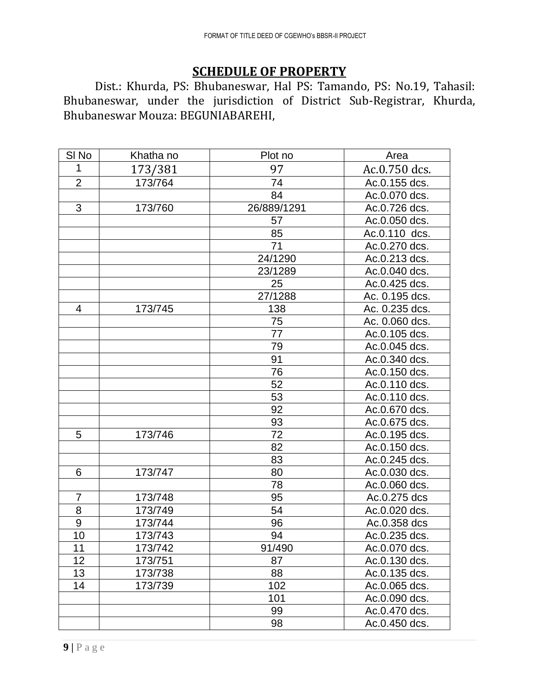# **SCHEDULE OF PROPERTY**

Dist.: Khurda, PS: Bhubaneswar, Hal PS: Tamando, PS: No.19, Tahasil: Bhubaneswar, under the jurisdiction of District Sub-Registrar, Khurda, Bhubaneswar Mouza: BEGUNIABAREHI,

| SI <sub>No</sub> | Khatha no | Plot no     | Area           |
|------------------|-----------|-------------|----------------|
| 1                | 173/381   | 97          | Ac.0.750 dcs.  |
| $\overline{2}$   | 173/764   | 74          | Ac.0.155 dcs.  |
|                  |           | 84          | Ac.0.070 dcs.  |
| 3                | 173/760   | 26/889/1291 | Ac.0.726 dcs.  |
|                  |           | 57          | Ac.0.050 dcs.  |
|                  |           | 85          | Ac.0.110 dcs.  |
|                  |           | 71          | Ac.0.270 dcs.  |
|                  |           | 24/1290     | Ac.0.213 dcs.  |
|                  |           | 23/1289     | Ac.0.040 dcs.  |
|                  |           | 25          | Ac.0.425 dcs.  |
|                  |           | 27/1288     | Ac. 0.195 dcs. |
| 4                | 173/745   | 138         | Ac. 0.235 dcs. |
|                  |           | 75          | Ac. 0.060 dcs. |
|                  |           | 77          | Ac.0.105 dcs.  |
|                  |           | 79          | Ac.0.045 dcs.  |
|                  |           | 91          | Ac.0.340 dcs.  |
|                  |           | 76          | Ac.0.150 dcs.  |
|                  |           | 52          | Ac.0.110 dcs.  |
|                  |           | 53          | Ac.0.110 dcs.  |
|                  |           | 92          | Ac.0.670 dcs.  |
|                  |           | 93          | Ac.0.675 dcs.  |
| 5                | 173/746   | 72          | Ac.0.195 dcs.  |
|                  |           | 82          | Ac.0.150 dcs.  |
|                  |           | 83          | Ac.0.245 dcs.  |
| 6                | 173/747   | 80          | Ac.0.030 dcs.  |
|                  |           | 78          | Ac.0.060 dcs.  |
| $\overline{7}$   | 173/748   | 95          | Ac.0.275 dcs   |
| 8                | 173/749   | 54          | Ac.0.020 dcs.  |
| 9                | 173/744   | 96          | Ac.0.358 dcs   |
| 10               | 173/743   | 94          | Ac.0.235 dcs.  |
| 11               | 173/742   | 91/490      | Ac.0.070 dcs.  |
| 12               | 173/751   | 87          | Ac.0.130 dcs.  |
| 13               | 173/738   | 88          | Ac.0.135 dcs.  |
| 14               | 173/739   | 102         | Ac.0.065 dcs.  |
|                  |           | 101         | Ac.0.090 dcs.  |
|                  |           | 99          | Ac.0.470 dcs.  |
|                  |           | 98          | Ac.0.450 dcs.  |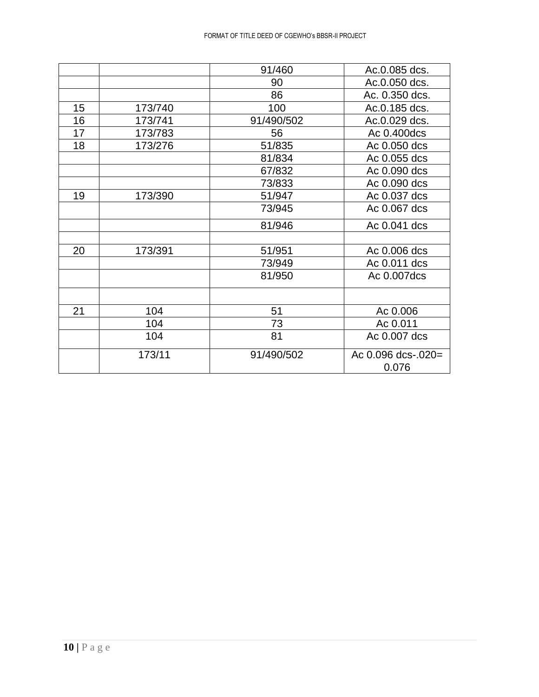|    |         | 91/460     | Ac.0.085 dcs.               |
|----|---------|------------|-----------------------------|
|    |         | 90         | Ac.0.050 dcs.               |
|    |         | 86         | Ac. 0.350 dcs.              |
| 15 | 173/740 | 100        | Ac.0.185 dcs.               |
| 16 | 173/741 | 91/490/502 | Ac.0.029 dcs.               |
| 17 | 173/783 | 56         | Ac 0.400dcs                 |
| 18 | 173/276 | 51/835     | Ac 0.050 dcs                |
|    |         | 81/834     | Ac 0.055 dcs                |
|    |         | 67/832     | Ac 0.090 dcs                |
|    |         | 73/833     | Ac 0.090 dcs                |
| 19 | 173/390 | 51/947     | Ac 0.037 dcs                |
|    |         | 73/945     | Ac 0.067 dcs                |
|    |         | 81/946     | Ac 0.041 dcs                |
|    |         |            |                             |
| 20 | 173/391 | 51/951     | Ac 0.006 dcs                |
|    |         | 73/949     | Ac 0.011 dcs                |
|    |         | 81/950     | Ac 0.007dcs                 |
|    |         |            |                             |
| 21 | 104     | 51         | Ac 0.006                    |
|    | 104     | 73         | Ac 0.011                    |
|    | 104     | 81         | Ac 0.007 dcs                |
|    | 173/11  | 91/490/502 | Ac 0.096 dcs-.020=<br>0.076 |